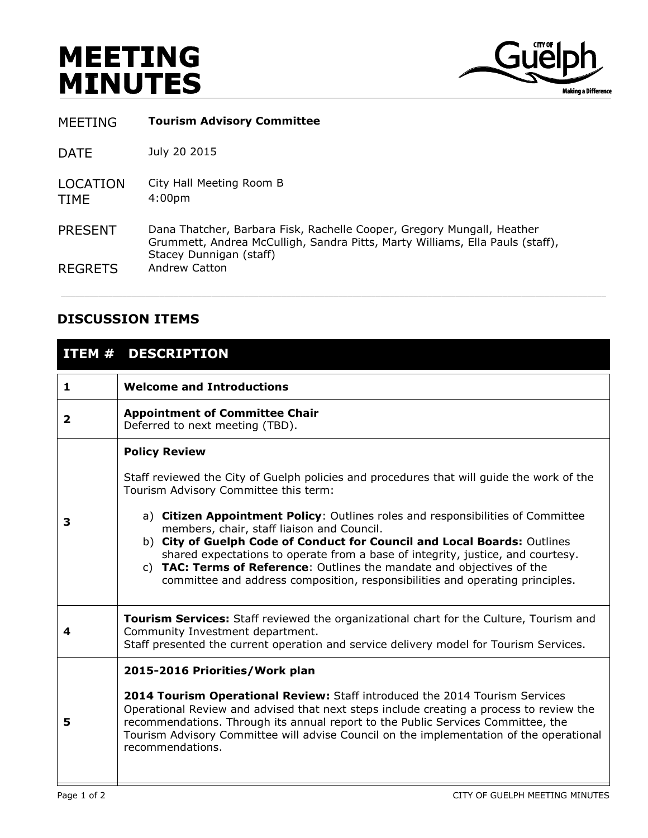## **MEETING MINUTES**



MEETING **Tourism Advisory Committee**

DATE July 20 2015

LOCATION City Hall Meeting Room B TIME 4:00pm

PRESENT Dana Thatcher, Barbara Fisk, Rachelle Cooper, Gregory Mungall, Heather Grummett, Andrea McCulligh, Sandra Pitts, Marty Williams, Ella Pauls (staff), Stacey Dunnigan (staff) REGRETS Andrew Catton

## **DISCUSSION ITEMS**

## **ITEM # DESCRIPTION**

| 1 | <b>Welcome and Introductions</b>                                                                                                                                                                                                                                                                                                                                                                                                                                                                                                                                                                                      |  |  |  |  |
|---|-----------------------------------------------------------------------------------------------------------------------------------------------------------------------------------------------------------------------------------------------------------------------------------------------------------------------------------------------------------------------------------------------------------------------------------------------------------------------------------------------------------------------------------------------------------------------------------------------------------------------|--|--|--|--|
| 2 | <b>Appointment of Committee Chair</b><br>Deferred to next meeting (TBD).                                                                                                                                                                                                                                                                                                                                                                                                                                                                                                                                              |  |  |  |  |
| 3 | <b>Policy Review</b><br>Staff reviewed the City of Guelph policies and procedures that will guide the work of the<br>Tourism Advisory Committee this term:<br>a) Citizen Appointment Policy: Outlines roles and responsibilities of Committee<br>members, chair, staff liaison and Council.<br>b) City of Guelph Code of Conduct for Council and Local Boards: Outlines<br>shared expectations to operate from a base of integrity, justice, and courtesy.<br>c) TAC: Terms of Reference: Outlines the mandate and objectives of the<br>committee and address composition, responsibilities and operating principles. |  |  |  |  |
| 4 | Tourism Services: Staff reviewed the organizational chart for the Culture, Tourism and<br>Community Investment department.<br>Staff presented the current operation and service delivery model for Tourism Services.                                                                                                                                                                                                                                                                                                                                                                                                  |  |  |  |  |
| 5 | 2015-2016 Priorities/Work plan<br>2014 Tourism Operational Review: Staff introduced the 2014 Tourism Services<br>Operational Review and advised that next steps include creating a process to review the<br>recommendations. Through its annual report to the Public Services Committee, the<br>Tourism Advisory Committee will advise Council on the implementation of the operational<br>recommendations.                                                                                                                                                                                                           |  |  |  |  |